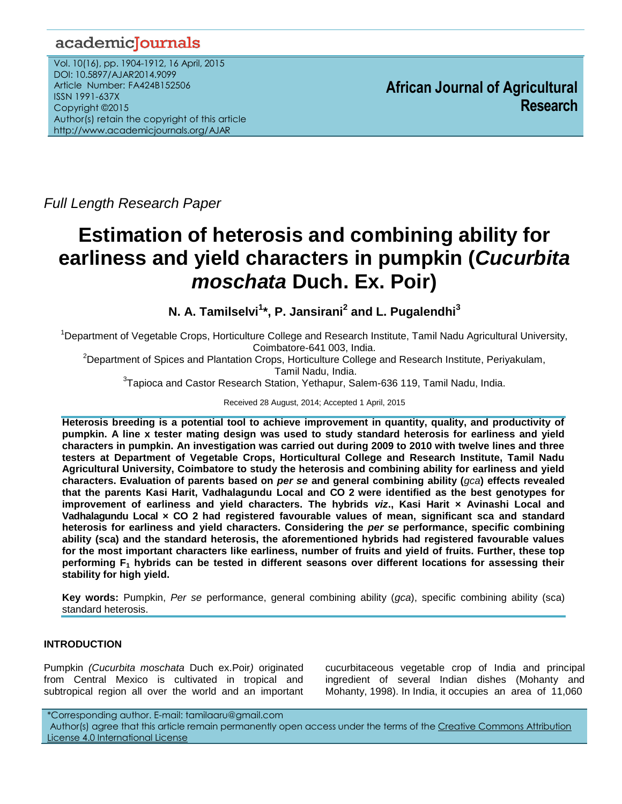# academicJournals

Vol. 10(16), pp. 1904-1912, 16 April, 2015 DOI: 10.5897/AJAR2014.9099 Article Number: FA424B152506 ISSN 1991-637X Copyright ©2015 Author(s) retain the copyright of this article http://www.academicjournals.org/AJAR

**African Journal of Agricultural Research**

*Full Length Research Paper*

# **Estimation of heterosis and combining ability for earliness and yield characters in pumpkin (***Cucurbita moschata* **Duch. Ex. Poir)**

**N. A. Tamilselvi<sup>1</sup> \*, P. Jansirani<sup>2</sup> and L. Pugalendhi<sup>3</sup>**

<sup>1</sup>Department of Vegetable Crops, Horticulture College and Research Institute, Tamil Nadu Agricultural University, Coimbatore-641 003, India.

<sup>2</sup>Department of Spices and Plantation Crops, Horticulture College and Research Institute, Periyakulam,

Tamil Nadu, India.

 $3$ Tapioca and Castor Research Station, Yethapur, Salem-636 119, Tamil Nadu, India.

Received 28 August, 2014; Accepted 1 April, 2015

**Heterosis breeding is a potential tool to achieve improvement in quantity, quality, and productivity of pumpkin. A line x tester mating design was used to study standard heterosis for earliness and yield characters in pumpkin. An investigation was carried out during 2009 to 2010 with twelve lines and three testers at Department of Vegetable Crops, Horticultural College and Research Institute, Tamil Nadu Agricultural University, Coimbatore to study the heterosis and combining ability for earliness and yield characters. Evaluation of parents based on** *per se* **and general combining ability (***gca***) effects revealed that the parents Kasi Harit, Vadhalagundu Local and CO 2 were identified as the best genotypes for improvement of earliness and yield characters. The hybrids** *viz***., Kasi Harit × Avinashi Local and Vadhalagundu Local × CO 2 had registered favourable values of mean, significant sca and standard heterosis for earliness and yield characters. Considering the** *per se* **performance, specific combining ability (sca) and the standard heterosis, the aforementioned hybrids had registered favourable values for the most important characters like earliness, number of fruits and yield of fruits. Further, these top performing F<sup>1</sup> hybrids can be tested in different seasons over different locations for assessing their stability for high yield.**

**Key words:** Pumpkin, *Per se* performance, general combining ability (*gca*), specific combining ability (sca) standard heterosis.

# **INTRODUCTION**

Pumpkin *(Cucurbita moschata* Duch ex.Poir*)* originated from Central Mexico is cultivated in tropical and subtropical region all over the world and an important

cucurbitaceous vegetable crop of India and principal ingredient of several Indian dishes (Mohanty and Mohanty, 1998). In India, it occupies an area of 11,060

\*Corresponding author. E-mail: tamilaaru@gmail.com

Author(s) agree that this article remain permanently open access under the terms of the [Creative Commons Attribution](http://creativecommons.org/licenses/by/4.0/deed.en_US)  [License 4.0 International License](http://creativecommons.org/licenses/by/4.0/deed.en_US)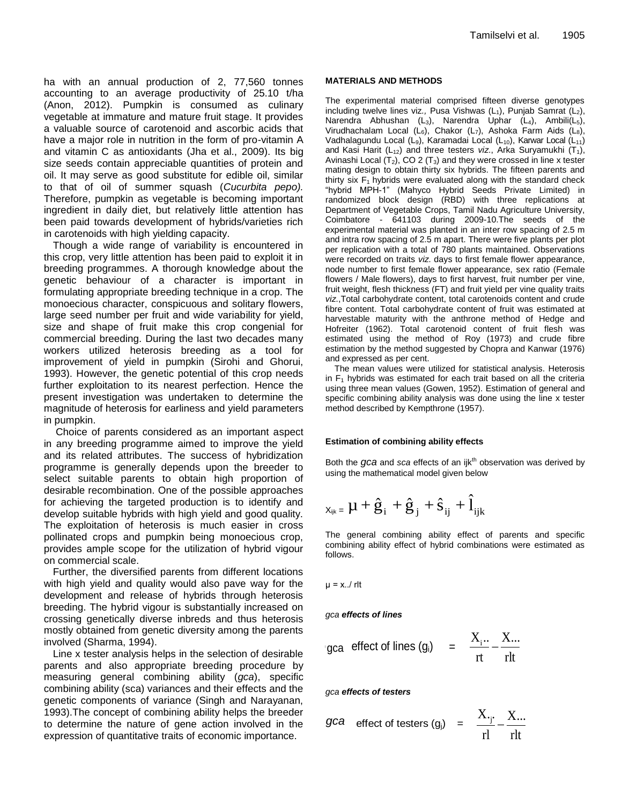ha with an annual production of 2, 77,560 tonnes accounting to an average productivity of 25.10 t/ha (Anon, 2012). Pumpkin is consumed as culinary vegetable at immature and mature fruit stage. It provides a valuable source of carotenoid and ascorbic acids that have a major role in nutrition in the form of pro-vitamin A and vitamin C as antioxidants (Jha et al., 2009). Its big size seeds contain appreciable quantities of protein and oil. It may serve as good substitute for edible oil, similar to that of oil of summer squash (*Cucurbita pepo).* Therefore, pumpkin as vegetable is becoming important ingredient in daily diet, but relatively little attention has been paid towards development of hybrids/varieties rich in carotenoids with high yielding capacity.

Though a wide range of variability is encountered in this crop, very little attention has been paid to exploit it in breeding programmes. A thorough knowledge about the genetic behaviour of a character is important in formulating appropriate breeding technique in a crop. The monoecious character, conspicuous and solitary flowers, large seed number per fruit and wide variability for yield, size and shape of fruit make this crop congenial for commercial breeding. During the last two decades many workers utilized heterosis breeding as a tool for improvement of yield in pumpkin (Sirohi and Ghorui, 1993). However, the genetic potential of this crop needs further exploitation to its nearest perfection. Hence the present investigation was undertaken to determine the magnitude of heterosis for earliness and yield parameters in pumpkin.

Choice of parents considered as an important aspect in any breeding programme aimed to improve the yield and its related attributes. The success of hybridization programme is generally depends upon the breeder to select suitable parents to obtain high proportion of desirable recombination. One of the possible approaches for achieving the targeted production is to identify and develop suitable hybrids with high yield and good quality. The exploitation of heterosis is much easier in cross pollinated crops and pumpkin being monoecious crop, provides ample scope for the utilization of hybrid vigour on commercial scale.

Further, the diversified parents from different locations with high yield and quality would also pave way for the development and release of hybrids through heterosis breeding. The hybrid vigour is substantially increased on crossing genetically diverse inbreds and thus heterosis mostly obtained from genetic diversity among the parents involved (Sharma, 1994).

Line x tester analysis helps in the selection of desirable parents and also appropriate breeding procedure by measuring general combining ability (*gca*), specific combining ability (sca) variances and their effects and the genetic components of variance (Singh and Narayanan, 1993).The concept of combining ability helps the breeder to determine the nature of gene action involved in the expression of quantitative traits of economic importance.

#### **MATERIALS AND METHODS**

The experimental material comprised fifteen diverse genotypes including twelve lines viz., Pusa Vishwas (L<sub>1</sub>), Punjab Samrat (L<sub>2</sub>), Narendra Abhushan (L<sub>3</sub>), Narendra Uphar (L<sub>4</sub>), Ambili(L<sub>5</sub>), Virudhachalam Local (L<sub>6</sub>), Chakor (L<sub>7</sub>), Ashoka Farm Aids (L<sub>8</sub>), Vadhalagundu Local (L9), Karamadai Local (L10), Karwar Local (L11) and Kasi Harit ( $L_{12}$ ) and three testers *viz.*, Arka Suryamukhi ( $T_1$ ), Avinashi Local  $(T_2)$ , CO 2  $(T_3)$  and they were crossed in line x tester mating design to obtain thirty six hybrids. The fifteen parents and thirty six  $F_1$  hybrids were evaluated along with the standard check "hybrid MPH-1" (Mahyco Hybrid Seeds Private Limited) in randomized block design (RBD) with three replications at Department of Vegetable Crops, Tamil Nadu Agriculture University, Coimbatore - 641103 during 2009-10.The seeds of the experimental material was planted in an inter row spacing of 2.5 m and intra row spacing of 2.5 m apart. There were five plants per plot per replication with a total of 780 plants maintained. Observations were recorded on traits *viz*. days to first female flower appearance, node number to first female flower appearance, sex ratio (Female flowers / Male flowers), days to first harvest, fruit number per vine, fruit weight, flesh thickness (FT) and fruit yield per vine quality traits *viz*.,Total carbohydrate content, total carotenoids content and crude fibre content. Total carbohydrate content of fruit was estimated at harvestable maturity with the anthrone method of Hedge and Hofreiter (1962). Total carotenoid content of fruit flesh was estimated using the method of Roy (1973) and crude fibre estimation by the method suggested by Chopra and Kanwar (1976) and expressed as per cent.

The mean values were utilized for statistical analysis. Heterosis in  $F_1$  hybrids was estimated for each trait based on all the criteria using three mean values (Gowen, 1952). Estimation of general and specific combining ability analysis was done using the line x tester method described by Kempthrone (1957).

#### **Estimation of combining ability effects**

Both the *gca* and *sca* effects of an ijk<sup>th</sup> observation was derived by using the mathematical model given below

$$
_{X_{ijk}}=\mu+\hat{g}_{i}+\hat{g}_{j}+\hat{s}_{ij}+\hat{l}_{ijk}
$$

The general combining ability effect of parents and specific combining ability effect of hybrid combinations were estimated as follows.

$$
\mu = x \cdot \text{ln} t
$$

*gca effects of lines*

$$
gca \text{ effect of lines } (g_i) = \frac{X_i ...}{rt} - \frac{X ...}{rlt}
$$

*gca effects of testers*

*gca* effect of testers (g<sub>i</sub>) = 
$$
\frac{X_{\cdot j}}{r!} - \frac{X_{\cdot \cdot j}}{r!t}
$$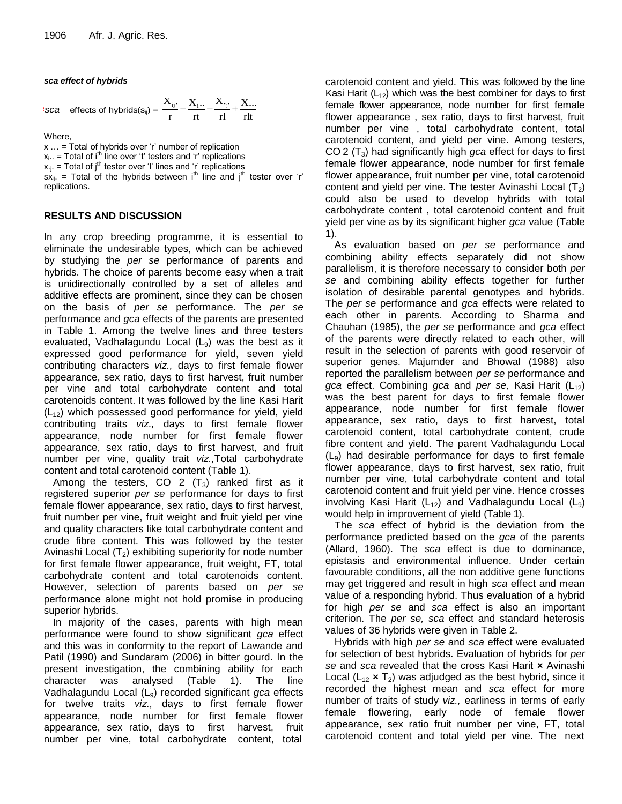*sca effect of hybrids*

$$
\textit{sca} \quad \text{effects of hypothesis}(\mathbf{s}_{ij}) = \frac{\mathbf{X}_{ij}}{r} - \frac{\mathbf{X}_{i}...}{rt} - \frac{\mathbf{X}_{\cdot j}}{rl} + \frac{\mathbf{X}_{\cdot \cdot \cdot}}{rlt}
$$

Where,

 $x \ldots$  = Total of hybrids over 'r' number of replication  $x_{i} = \text{Total of } i^{\text{th}}$  line over 't' testers and 'r' replications  $x_{i}$ . = Total of j<sup>th</sup> tester over 'l' lines and 'r' replications  $sx_{ii}$  = Total of the hybrids between i<sup>th</sup> line and j<sup>th</sup> tester over 'r' replications.

# **RESULTS AND DISCUSSION**

In any crop breeding programme, it is essential to eliminate the undesirable types, which can be achieved by studying the *per se* performance of parents and hybrids. The choice of parents become easy when a trait is unidirectionally controlled by a set of alleles and additive effects are prominent, since they can be chosen on the basis of *per se* performance. The *per se* performance and *gca* effects of the parents are presented in Table 1. Among the twelve lines and three testers evaluated, Vadhalagundu Local  $(L_9)$  was the best as it expressed good performance for yield, seven yield contributing characters *viz.,* days to first female flower appearance, sex ratio, days to first harvest, fruit number per vine and total carbohydrate content and total carotenoids content. It was followed by the line Kasi Harit  $(L_{12})$  which possessed good performance for yield, yield contributing traits *viz.,* days to first female flower appearance, node number for first female flower appearance, sex ratio, days to first harvest, and fruit number per vine, quality trait *viz.,*Total carbohydrate content and total carotenoid content (Table 1).

Among the testers, CO 2  $(T_3)$  ranked first as it registered superior *per se* performance for days to first female flower appearance, sex ratio, days to first harvest, fruit number per vine, fruit weight and fruit yield per vine and quality characters like total carbohydrate content and crude fibre content. This was followed by the tester Avinashi Local  $(T_2)$  exhibiting superiority for node number for first female flower appearance, fruit weight, FT, total carbohydrate content and total carotenoids content. However, selection of parents based on *per se* performance alone might not hold promise in producing superior hybrids.

In majority of the cases, parents with high mean performance were found to show significant *gca* effect and this was in conformity to the report of Lawande and Patil (1990) and Sundaram (2006) in bitter gourd. In the present investigation, the combining ability for each character was analysed (Table 1). The line Vadhalagundu Local (L9) recorded significant *gca* effects for twelve traits *viz.,* days to first female flower appearance, node number for first female flower appearance, sex ratio, days to first harvest, fruit number per vine, total carbohydrate content, total

carotenoid content and yield. This was followed by the line Kasi Harit  $(L_{12})$  which was the best combiner for days to first female flower appearance, node number for first female flower appearance , sex ratio, days to first harvest, fruit number per vine , total carbohydrate content, total carotenoid content, and yield per vine. Among testers, CO 2 (T3) had significantly high *gca* effect for days to first female flower appearance, node number for first female flower appearance, fruit number per vine, total carotenoid content and yield per vine. The tester Avinashi Local  $(T_2)$ could also be used to develop hybrids with total carbohydrate content , total carotenoid content and fruit yield per vine as by its significant higher *gca* value (Table 1).

As evaluation based on *per se* performance and combining ability effects separately did not show parallelism, it is therefore necessary to consider both *per se* and combining ability effects together for further isolation of desirable parental genotypes and hybrids. The *per se* performance and *gca* effects were related to each other in parents. According to Sharma and Chauhan (1985), the *per se* performance and *gca* effect of the parents were directly related to each other, will result in the selection of parents with good reservoir of superior genes. Majumder and Bhowal (1988) also reported the parallelism between *per se* performance and *gca* effect. Combining *gca* and *per se*, Kasi Harit (L<sub>12</sub>) was the best parent for days to first female flower appearance, node number for first female flower appearance, sex ratio, days to first harvest, total carotenoid content, total carbohydrate content, crude fibre content and yield. The parent Vadhalagundu Local  $(L_9)$  had desirable performance for days to first female flower appearance, days to first harvest, sex ratio, fruit number per vine, total carbohydrate content and total carotenoid content and fruit yield per vine. Hence crosses involving Kasi Harit  $(L_{12})$  and Vadhalagundu Local  $(L_9)$ would help in improvement of yield (Table 1).

The *sca* effect of hybrid is the deviation from the performance predicted based on the *gca* of the parents (Allard, 1960). The *sca* effect is due to dominance, epistasis and environmental influence. Under certain favourable conditions, all the non additive gene functions may get triggered and result in high *sca* effect and mean value of a responding hybrid. Thus evaluation of a hybrid for high *per se* and *sca* effect is also an important criterion. The *per se, sca* effect and standard heterosis values of 36 hybrids were given in Table 2.

Hybrids with high *per se* and *sca* effect were evaluated for selection of best hybrids. Evaluation of hybrids for *per se* and *sca* revealed that the cross Kasi Harit **×** Avinashi Local ( $L_{12}$   $\times$  T<sub>2</sub>) was adjudged as the best hybrid, since it recorded the highest mean and *sca* effect for more number of traits of study *viz.,* earliness in terms of early female flowering, early node of female flower appearance, sex ratio fruit number per vine, FT, total carotenoid content and total yield per vine. The next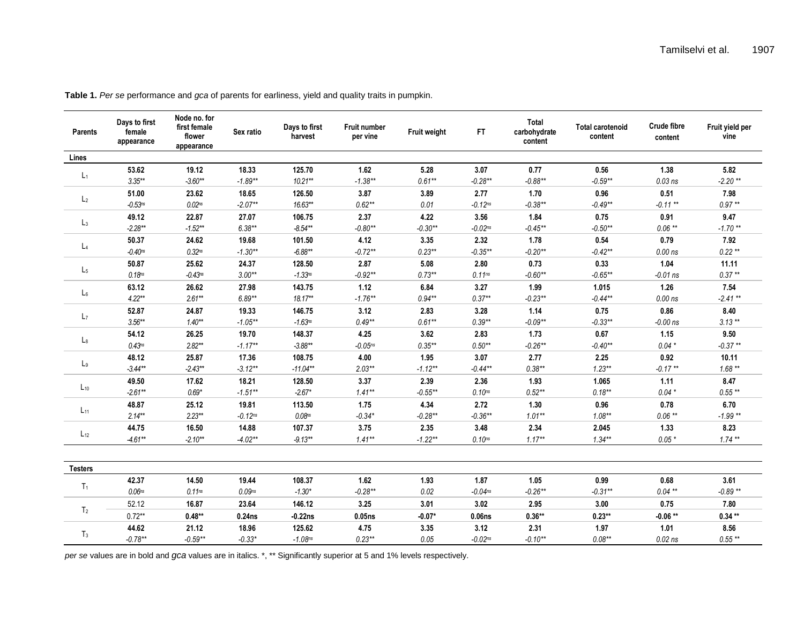| <b>Parents</b>                                                                                                                                     | Days to first<br>female<br>appearance | Node no. for<br>first female<br>flower<br>appearance | Sex ratio          | Days to first<br>harvest | Fruit number<br>per vine | Fruit weight | <b>FT</b>          | Total<br>carbohydrate<br>content | <b>Total carotenoid</b><br>content | Crude fibre<br>content | Fruit yield per<br>vine |
|----------------------------------------------------------------------------------------------------------------------------------------------------|---------------------------------------|------------------------------------------------------|--------------------|--------------------------|--------------------------|--------------|--------------------|----------------------------------|------------------------------------|------------------------|-------------------------|
| Lines                                                                                                                                              |                                       |                                                      |                    |                          |                          |              |                    |                                  |                                    |                        |                         |
|                                                                                                                                                    | 53.62                                 | 19.12                                                | 18.33              | 125.70                   | 1.62                     | 5.28         | 3.07               | 0.77                             | 0.56                               | 1.38                   | 5.82                    |
| $L_1$                                                                                                                                              | $3.35***$                             | $-3.60**$                                            | $-1.89**$          | $10.21**$                | $-1.38**$                | $0.61**$     | $-0.28**$          | $-0.88**$                        | $-0.59**$                          | $0.03$ ns              | $-2.20$ **              |
|                                                                                                                                                    | 51.00                                 | 23.62                                                | 18.65              | 126.50                   | 3.87                     | 3.89         | 2.77               | 1.70                             | 0.96                               | 0.51                   | 7.98                    |
| L <sub>2</sub>                                                                                                                                     | $-0.53^{ns}$                          | 0.02 <sup>ns</sup>                                   | $-2.07**$          | $16.63**$                | $0.62**$                 | 0.01         | $-0.12ns$          | $-0.38**$                        | $-0.49**$                          | $-0.11**$              | $0.97**$                |
|                                                                                                                                                    | 49.12                                 | 22.87                                                | 27.07              | 106.75                   | 2.37                     | 4.22         | 3.56               | 1.84                             | 0.75                               | 0.91                   | 9.47                    |
| $L_3$                                                                                                                                              | $-2.28**$                             | $-1.52**$                                            | $6.38**$           | $-8.54**$                | $-0.80**$                | $-0.30**$    | $-0.02$ ns         | $-0.45**$                        | $-0.50**$                          | $0.06**$               | $-1.70$ **              |
|                                                                                                                                                    | 50.37                                 | 24.62                                                | 19.68              | 101.50                   | 4.12                     | 3.35         | 2.32               | 1.78                             | 0.54                               | 0.79                   | 7.92                    |
|                                                                                                                                                    | $-0.40$ <sup>ns</sup>                 | 0.32 <sup>ns</sup>                                   | $-1.30**$          | $-6.88**$                | $-0.72**$                | $0.23**$     | $-0.35**$          | $-0.20**$                        | $-0.42**$                          | $0.00$ ns              | $0.22$ **               |
|                                                                                                                                                    | 50.87                                 | 25.62                                                | 24.37              | 128.50                   | 2.87                     | 5.08         | 2.80               | 0.73                             | 0.33                               | 1.04                   | 11.11                   |
|                                                                                                                                                    | 0.18 <sup>ns</sup>                    | $-0.43n s$                                           | $3.00**$           | $-1.33^{ns}$             | $-0.92**$                | $0.73**$     | 0.11 <sub>ns</sub> | $-0.60**$                        | $-0.65**$                          | $-0.01$ ns             | $0.37**$                |
|                                                                                                                                                    | 63.12                                 | 26.62                                                | 27.98              | 143.75                   | 1.12                     | 6.84         | 3.27               | 1.99                             | 1.015                              | 1.26                   | 7.54                    |
|                                                                                                                                                    | $4.22**$                              | $2.61**$                                             | $6.89**$           | 18.17**                  | $-1.76**$                | $0.94**$     | $0.37**$           | $-0.23**$                        | $-0.44**$                          | $0.00$ ns              | $-2.41**$               |
|                                                                                                                                                    | 52.87                                 | 24.87                                                | 19.33              | 146.75                   | 3.12                     | 2.83         | 3.28               | 1.14                             | 0.75                               | 0.86                   | 8.40                    |
|                                                                                                                                                    | $3.56***$                             | $1.40**$                                             | $-1.05**$          | $-1.63^{ns}$             | $0.49**$                 | $0.61**$     | $0.39**$           | $-0.09**$                        | $-0.33**$                          | $-0.00$ ns             | $3.13**$                |
|                                                                                                                                                    | 54.12                                 | 26.25                                                | 19.70              | 148.37                   | 4.25                     | 3.62         | 2.83               | 1.73                             | 0.67                               | 1.15                   | 9.50                    |
|                                                                                                                                                    | $0.43$ ns                             | $2.82**$                                             | $-1.17**$          | $-3.88**$                | $-0.05^{ns}$             | $0.35**$     | $0.50**$           | $-0.26**$                        | $-0.40**$                          | $0.04*$                | $-0.37**$               |
|                                                                                                                                                    | 48.12                                 | 25.87                                                | 17.36              | 108.75                   | 4.00                     | 1.95         | 3.07               | 2.77                             | 2.25                               | 0.92                   | 10.11                   |
|                                                                                                                                                    | $-3.44**$                             | $-2.43**$                                            | $-3.12**$          | $-11.04**$               | $2.03**$                 | $-1.12**$    | $-0.44**$          | $0.38**$                         | $1.23**$                           | $-0.17$ **             | $1.68**$                |
|                                                                                                                                                    | 49.50                                 | 17.62                                                | 18.21              | 128.50                   | 3.37                     | 2.39         | 2.36               | 1.93                             | 1.065                              | 1.11                   | 8.47                    |
|                                                                                                                                                    | $-2.61**$                             | $0.69*$                                              | $-1.51**$          | $-2.67*$                 | $1.41**$                 | $-0.55**$    | $0.10^{ns}$        | $0.52**$                         | $0.18**$                           | $0.04*$                | $0.55***$               |
|                                                                                                                                                    | 48.87                                 | 25.12                                                | 19.81              | 113.50                   | 1.75                     | 4.34         | 2.72               | 1.30                             | 0.96                               | 0.78                   | 6.70                    |
|                                                                                                                                                    | $2.14**$                              | $2.23**$                                             | $-0.12$ ns         | 0.08 <sup>ns</sup>       | $-0.34*$                 | $-0.28**$    | $-0.36**$          | $1.01**$                         | $1.08**$                           | $0.06$ **              | $-1.99**$               |
|                                                                                                                                                    | 44.75                                 | 16.50                                                | 14.88              | 107.37                   | 3.75                     | 2.35         | 3.48               | 2.34                             | 2.045                              | 1.33                   | 8.23                    |
|                                                                                                                                                    | $-4.61**$                             | $-2.10**$                                            | $-4.02**$          | $-9.13**$                | $1.41**$                 | $-1.22**$    | 0.10 <sup>ns</sup> | $1.17**$                         | $1.34**$                           | $0.05*$                | $1.74**$                |
|                                                                                                                                                    |                                       |                                                      |                    |                          |                          |              |                    |                                  |                                    |                        |                         |
| <b>Testers</b>                                                                                                                                     |                                       |                                                      |                    |                          |                          |              |                    |                                  |                                    |                        |                         |
|                                                                                                                                                    | 42.37                                 | 14.50                                                | 19.44              | 108.37                   | 1.62                     | 1.93         | 1.87               | 1.05                             | 0.99                               | 0.68                   | 3.61                    |
|                                                                                                                                                    | $0.06$ ns                             | 0.11 <sub>ns</sub>                                   | 0.09 <sub>ns</sub> | $-1.30*$                 | $-0.28**$                | 0.02         | $-0.04$ ns         | $-0.26**$                        | $-0.31**$                          | $0.04$ **              | $-0.89**$               |
|                                                                                                                                                    | 52.12                                 | 16.87                                                | 23.64              | 146.12                   | 3.25                     | 3.01         | 3.02               | 2.95                             | 3.00                               | 0.75                   | 7.80                    |
| L <sub>4</sub><br>$L_5$<br>$L_6$<br>L <sub>7</sub><br>$L_8$<br>L9<br>$L_{10}$<br>$L_{11}$<br>$L_{12}$<br>$T_1$<br>$\mathsf{T}_2$<br>T <sub>3</sub> | $0.72**$                              | $0.48**$                                             | 0.24 <sub>ns</sub> | $-0.22ns$                | 0.05ns                   | $-0.07*$     | 0.06 <sub>ns</sub> | $0.36**$                         | $0.23**$                           | $-0.06**$              | $0.34**$                |
|                                                                                                                                                    | 44.62                                 | 21.12                                                | 18.96              | 125.62                   | 4.75                     | 3.35         | 3.12               | 2.31                             | 1.97                               | 1.01                   | 8.56                    |
|                                                                                                                                                    | $-0.78**$                             | $-0.59**$                                            | $-0.33*$           | $-1.08^{ns}$             | $0.23**$                 | 0.05         | $-0.02^{ns}$       | $-0.10**$                        | $0.08**$                           | $0.02$ ns              | $0.55**$                |

**Table 1.** *Per se* performance and *gca* of parents for earliness, yield and quality traits in pumpkin.

*per se* values are in bold and *gca* values are in italics. \*, \*\* Significantly superior at 5 and 1% levels respectively.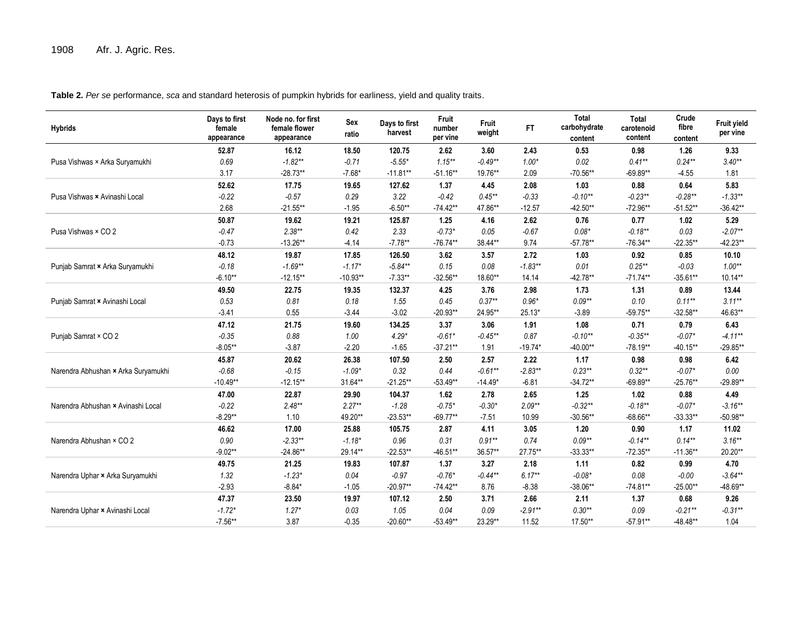**Table 2.** *Per se* performance, *sca* and standard heterosis of pumpkin hybrids for earliness, yield and quality traits.

| <b>Hybrids</b>                      | Days to first<br>female<br>appearance | Node no. for first<br>female flower<br>appearance | Sex<br>ratio | Days to first<br>harvest | Fruit<br>number<br>per vine | Fruit<br>weight | FT.       | Total<br>carbohydrate<br>content | Total<br>carotenoid<br>content | Crude<br>fibre<br>content | Fruit yield<br>per vine |
|-------------------------------------|---------------------------------------|---------------------------------------------------|--------------|--------------------------|-----------------------------|-----------------|-----------|----------------------------------|--------------------------------|---------------------------|-------------------------|
|                                     | 52.87                                 | 16.12                                             | 18.50        | 120.75                   | 2.62                        | 3.60            | 2.43      | 0.53                             | 0.98                           | 1.26                      | 9.33                    |
| Pusa Vishwas × Arka Suryamukhi      | 0.69                                  | $-1.82**$                                         | $-0.71$      | $-5.55*$                 | $1.15***$                   | $-0.49**$       | $1.00*$   | 0.02                             | $0.41**$                       | $0.24**$                  | $3.40**$                |
|                                     | 3.17                                  | $-28.73**$                                        | $-7.68*$     | $-11.81**$               | $-51.16**$                  | 19.76**         | 2.09      | $-70.56**$                       | $-69.89**$                     | $-4.55$                   | 1.81                    |
|                                     | 52.62                                 | 17.75                                             | 19.65        | 127.62                   | 1.37                        | 4.45            | 2.08      | 1.03                             | 0.88                           | 0.64                      | 5.83                    |
| Pusa Vishwas x Avinashi Local       | $-0.22$                               | $-0.57$                                           | 0.29         | 3.22                     | $-0.42$                     | $0.45**$        | $-0.33$   | $-0.10**$                        | $-0.23**$                      | $-0.28**$                 | $-1.33**$               |
|                                     | 2.68                                  | $-21.55***$                                       | $-1.95$      | $-6.50**$                | $-74.42**$                  | 47.86**         | $-12.57$  | $-42.50**$                       | $-72.96**$                     | $-51.52**$                | $-36.42**$              |
|                                     | 50.87                                 | 19.62                                             | 19.21        | 125.87                   | 1.25                        | 4.16            | 2.62      | 0.76                             | 0.77                           | 1.02                      | 5.29                    |
| Pusa Vishwas × CO 2                 | $-0.47$                               | $2.38**$                                          | 0.42         | 2.33                     | $-0.73*$                    | 0.05            | $-0.67$   | $0.08*$                          | $-0.18**$                      | 0.03                      | $-2.07**$               |
|                                     | $-0.73$                               | $-13.26**$                                        | $-4.14$      | $-7.78**$                | $-76.74**$                  | 38.44**         | 9.74      | $-57.78**$                       | $-76.34**$                     | $-22.35**$                | $-42.23**$              |
|                                     | 48.12                                 | 19.87                                             | 17.85        | 126.50                   | 3.62                        | 3.57            | 2.72      | 1.03                             | 0.92                           | 0.85                      | 10.10                   |
| Punjab Samrat × Arka Suryamukhi     | $-0.18$                               | $-1.69**$                                         | $-1.17*$     | $-5.84**$                | 0.15                        | 0.08            | $-1.83**$ | 0.01                             | $0.25**$                       | $-0.03$                   | $1.00**$                |
|                                     | $-6.10**$                             | $-12.15***$                                       | $-10.93**$   | $-7.33**$                | $-32.56**$                  | 18.60**         | 14.14     | $-42.78**$                       | $-71.74**$                     | $-35.61**$                | $10.14***$              |
|                                     | 49.50                                 | 22.75                                             | 19.35        | 132.37                   | 4.25                        | 3.76            | 2.98      | 1.73                             | 1.31                           | 0.89                      | 13.44                   |
| Punjab Samrat x Avinashi Local      | 0.53                                  | 0.81                                              | 0.18         | 1.55                     | 0.45                        | $0.37**$        | $0.96*$   | $0.09**$                         | 0.10                           | $0.11**$                  | $3.11***$               |
|                                     | $-3.41$                               | 0.55                                              | $-3.44$      | $-3.02$                  | $-20.93**$                  | 24.95**         | 25.13*    | $-3.89$                          | $-59.75**$                     | $-32.58**$                | 46.63**                 |
|                                     | 47.12                                 | 21.75                                             | 19.60        | 134.25                   | 3.37                        | 3.06            | 1.91      | 1.08                             | 0.71                           | 0.79                      | 6.43                    |
| Punjab Samrat × CO 2                | $-0.35$                               | $0.88\,$                                          | 1.00         | $4.29*$                  | $-0.61*$                    | $-0.45**$       | 0.87      | $-0.10**$                        | $-0.35**$                      | $-0.07*$                  | $-4.11**$               |
|                                     | $-8.05**$                             | $-3.87$                                           | $-2.20$      | $-1.65$                  | $-37.21**$                  | 1.91            | $-19.74*$ | $-40.00**$                       | $-78.19**$                     | $-40.15***$               | $-29.85**$              |
|                                     | 45.87                                 | 20.62                                             | 26.38        | 107.50                   | 2.50                        | 2.57            | 2.22      | 1.17                             | 0.98                           | 0.98                      | 6.42                    |
| Narendra Abhushan x Arka Suryamukhi | $-0.68$                               | $-0.15$                                           | $-1.09*$     | 0.32                     | 0.44                        | $-0.61**$       | $-2.83**$ | $0.23**$                         | $0.32**$                       | $-0.07*$                  | 0.00                    |
|                                     | $-10.49**$                            | $-12.15***$                                       | 31.64**      | $-21.25**$               | $-53.49**$                  | $-14.49*$       | $-6.81$   | $-34.72**$                       | $-69.89**$                     | $-25.76**$                | $-29.89**$              |
|                                     | 47.00                                 | 22.87                                             | 29.90        | 104.37                   | 1.62                        | 2.78            | 2.65      | 1.25                             | 1.02                           | 0.88                      | 4.49                    |
| Narendra Abhushan x Avinashi Local  | $-0.22$                               | $2.48**$                                          | $2.27**$     | $-1.28$                  | $-0.75*$                    | $-0.30*$        | $2.09**$  | $-0.32**$                        | $-0.18**$                      | $-0.07*$                  | $-3.16**$               |
|                                     | $-8.29**$                             | 1.10                                              | 49.20**      | $-23.53**$               | $-69.77**$                  | $-7.51$         | 10.99     | $-30.56**$                       | $-68.66**$                     | $-33.33**$                | $-50.98**$              |
|                                     | 46.62                                 | 17.00                                             | 25.88        | 105.75                   | 2.87                        | 4.11            | 3.05      | $1.20$                           | 0.90                           | 1.17                      | 11.02                   |
| Narendra Abhushan × CO 2            | $0.90\,$                              | $-2.33**$                                         | $-1.18*$     | 0.96                     | 0.31                        | $0.91**$        | 0.74      | $0.09**$                         | $-0.14**$                      | $0.14**$                  | $3.16**$                |
|                                     | $-9.02**$                             | $-24.86**$                                        | 29.14**      | $-22.53**$               | $-46.51***$                 | 36.57**         | 27.75**   | $-33.33**$                       | $-72.35**$                     | $-11.36**$                | 20.20**                 |
|                                     | 49.75                                 | 21.25                                             | 19.83        | 107.87                   | 1.37                        | 3.27            | 2.18      | 1.11                             | 0.82                           | 0.99                      | 4.70                    |
| Narendra Uphar x Arka Suryamukhi    | 1.32                                  | $-1.23*$                                          | 0.04         | $-0.97$                  | $-0.76*$                    | $-0.44**$       | $6.17**$  | $-0.08*$                         | 0.08                           | $-0.00$                   | $-3.64***$              |
|                                     | $-2.93$                               | $-8.84*$                                          | $-1.05$      | $-20.97**$               | $-74.42**$                  | 8.76            | $-8.38$   | $-38.06**$                       | $-74.81**$                     | $-25.00**$                | $-48.69**$              |
|                                     | 47.37                                 | 23.50                                             | 19.97        | 107.12                   | 2.50                        | 3.71            | 2.66      | 2.11                             | 1.37                           | 0.68                      | 9.26                    |
| Narendra Uphar x Avinashi Local     | $-1.72*$                              | $1.27*$                                           | 0.03         | 1.05                     | 0.04                        | 0.09            | $-2.91**$ | $0.30**$                         | 0.09                           | $-0.21**$                 | $-0.31**$               |
|                                     | $-7.56**$                             | 3.87                                              | $-0.35$      | $-20.60**$               | $-53.49**$                  | 23.29**         | 11.52     | 17.50**                          | $-57.91**$                     | $-48.48**$                | 1.04                    |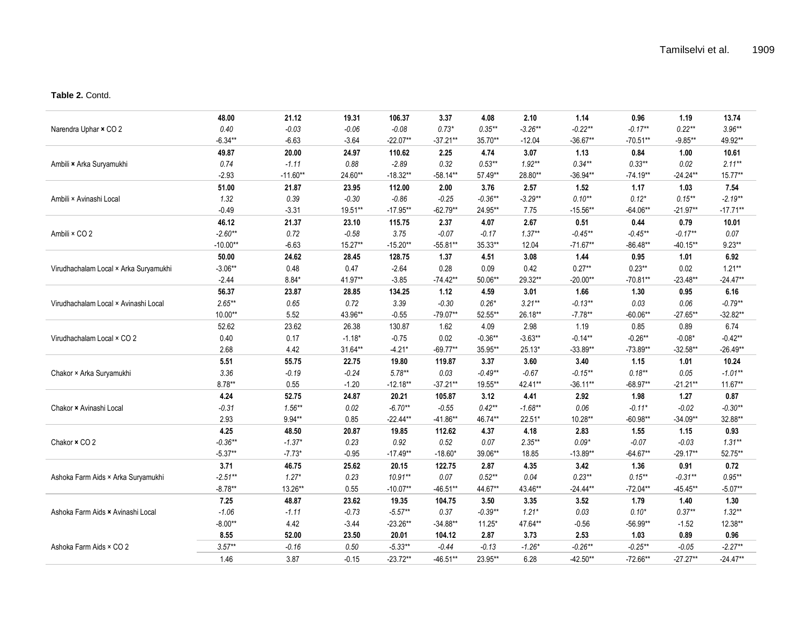### **Table 2.** Contd.

|                                       | 48.00      | 21.12      | 19.31    | 106.37     | 3.37       | 4.08      | 2.10      | 1.14       | 0.96       | 1.19       | 13.74      |
|---------------------------------------|------------|------------|----------|------------|------------|-----------|-----------|------------|------------|------------|------------|
| Narendra Uphar × CO 2                 | $0.40\,$   | $-0.03$    | $-0.06$  | $-0.08$    | $0.73*$    | $0.35**$  | $-3.26**$ | $-0.22**$  | $-0.17**$  | $0.22**$   | $3.96**$   |
|                                       | $-6.34**$  | $-6.63$    | $-3.64$  | $-22.07**$ | $-37.21**$ | 35.70**   | $-12.04$  | $-36.67**$ | $-70.51**$ | $-9.85***$ | 49.92**    |
|                                       | 49.87      | 20.00      | 24.97    | 110.62     | 2.25       | 4.74      | 3.07      | 1.13       | 0.84       | 1.00       | 10.61      |
| Ambili x Arka Suryamukhi              | 0.74       | $-1.11$    | 0.88     | $-2.89$    | 0.32       | $0.53**$  | $1.92**$  | $0.34**$   | $0.33**$   | 0.02       | $2.11***$  |
|                                       | $-2.93$    | $-11.60**$ | 24.60**  | $-18.32**$ | $-58.14**$ | 57.49**   | 28.80**   | $-36.94**$ | $-74.19**$ | $-24.24**$ | 15.77**    |
|                                       | 51.00      | 21.87      | 23.95    | 112.00     | 2.00       | 3.76      | 2.57      | 1.52       | 1.17       | 1.03       | 7.54       |
| Ambili × Avinashi Local               | 1.32       | 0.39       | $-0.30$  | $-0.86$    | $-0.25$    | $-0.36**$ | $-3.29**$ | $0.10**$   | $0.12*$    | $0.15**$   | $-2.19**$  |
|                                       | $-0.49$    | $-3.31$    | 19.51**  | $-17.95**$ | $-62.79**$ | 24.95**   | 7.75      | $-15.56**$ | $-64.06**$ | $-21.97**$ | $-17.71**$ |
|                                       | 46.12      | 21.37      | 23.10    | 115.75     | 2.37       | 4.07      | 2.67      | 0.51       | 0.44       | 0.79       | 10.01      |
| Ambili × CO 2                         | $-2.60**$  | 0.72       | $-0.58$  | 3.75       | $-0.07$    | $-0.17$   | $1.37**$  | $-0.45**$  | $-0.45**$  | $-0.17**$  | 0.07       |
|                                       | $-10.00**$ | $-6.63$    | 15.27**  | $-15.20**$ | $-55.81**$ | 35.33**   | 12.04     | $-71.67**$ | $-86.48**$ | $-40.15**$ | $9.23**$   |
|                                       | 50.00      | 24.62      | 28.45    | 128.75     | 1.37       | 4.51      | 3.08      | 1.44       | 0.95       | 1.01       | 6.92       |
| Virudhachalam Local × Arka Suryamukhi | $-3.06**$  | 0.48       | 0.47     | $-2.64$    | 0.28       | 0.09      | 0.42      | $0.27**$   | $0.23**$   | 0.02       | $1.21**$   |
|                                       | $-2.44$    | $8.84*$    | 41.97**  | $-3.85$    | $-74.42**$ | 50.06**   | 29.32**   | $-20.00**$ | $-70.81**$ | $-23.48**$ | $-24.47**$ |
|                                       | 56.37      | 23.87      | 28.85    | 134.25     | 1.12       | 4.59      | 3.01      | 1.66       | 1.30       | 0.95       | 6.16       |
| Virudhachalam Local × Avinashi Local  | $2.65**$   | 0.65       | 0.72     | 3.39       | $-0.30$    | $0.26*$   | $3.21**$  | $-0.13**$  | 0.03       | 0.06       | $-0.79**$  |
|                                       | 10.00**    | 5.52       | 43.96**  | $-0.55$    | $-79.07**$ | 52.55**   | 26.18**   | $-7.78**$  | $-60.06**$ | $-27.65**$ | $-32.82**$ |
|                                       | 52.62      | 23.62      | 26.38    | 130.87     | 1.62       | 4.09      | 2.98      | 1.19       | 0.85       | 0.89       | 6.74       |
| Virudhachalam Local × CO 2            | 0.40       | 0.17       | $-1.18*$ | $-0.75$    | 0.02       | $-0.36**$ | $-3.63**$ | $-0.14**$  | $-0.26**$  | $-0.08*$   | $-0.42**$  |
|                                       | 2.68       | 4.42       | 31.64**  | $-4.21*$   | $-69.77**$ | 35.95**   | 25.13*    | $-33.89**$ | $-73.89**$ | $-32.58**$ | $-26.49**$ |
|                                       | 5.51       | 55.75      | 22.75    | 19.80      | 119.87     | 3.37      | 3.60      | 3.40       | 1.15       | 1.01       | 10.24      |
| Chakor × Arka Suryamukhi              | 3.36       | $-0.19$    | $-0.24$  | $5.78**$   | 0.03       | $-0.49**$ | $-0.67$   | $-0.15**$  | $0.18**$   | 0.05       | $-1.01**$  |
|                                       | 8.78**     | 0.55       | $-1.20$  | $-12.18**$ | $-37.21**$ | 19.55**   | 42.41**   | $-36.11**$ | $-68.97**$ | $-21.21**$ | 11.67**    |
|                                       | 4.24       | 52.75      | 24.87    | 20.21      | 105.87     | 3.12      | 4.41      | 2.92       | 1.98       | 1.27       | 0.87       |
| Chakor * Avinashi Local               | $-0.31$    | $1.56***$  | 0.02     | $-6.70**$  | $-0.55$    | $0.42**$  | $-1.68**$ | 0.06       | $-0.11*$   | $-0.02$    | $-0.30**$  |
|                                       | 2.93       | $9.94**$   | 0.85     | $-22.44**$ | $-41.86**$ | 46.74**   | $22.51*$  | 10.28**    | $-60.98**$ | $-34.09**$ | 32.88**    |
|                                       | 4.25       | 48.50      | 20.87    | 19.85      | 112.62     | 4.37      | 4.18      | 2.83       | 1.55       | 1.15       | 0.93       |
| Chakor × CO 2                         | $-0.36**$  | $-1.37*$   | 0.23     | 0.92       | 0.52       | 0.07      | $2.35**$  | $0.09*$    | $-0.07$    | $-0.03$    | $1.31**$   |
|                                       | $-5.37**$  | $-7.73*$   | $-0.95$  | $-17.49**$ | $-18.60*$  | 39.06**   | 18.85     | $-13.89**$ | $-64.67**$ | $-29.17**$ | 52.75**    |
|                                       | 3.71       | 46.75      | 25.62    | 20.15      | 122.75     | 2.87      | 4.35      | 3.42       | 1.36       | 0.91       | 0.72       |
| Ashoka Farm Aids × Arka Suryamukhi    | $-2.51**$  | $1.27*$    | 0.23     | $10.91**$  | 0.07       | $0.52**$  | 0.04      | $0.23**$   | $0.15**$   | $-0.31**$  | $0.95**$   |
|                                       | $-8.78**$  | 13.26**    | 0.55     | $-10.07**$ | $-46.51**$ | 44.67**   | 43.46**   | $-24.44**$ | $-72.04**$ | $-45.45**$ | $-5.07**$  |
|                                       | 7.25       | 48.87      | 23.62    | 19.35      | 104.75     | 3.50      | 3.35      | 3.52       | 1.79       | 1.40       | 1.30       |
| Ashoka Farm Aids x Avinashi Local     | $-1.06$    | $-1.11$    | $-0.73$  | $-5.57**$  | 0.37       | $-0.39**$ | $1.21*$   | 0.03       | $0.10*$    | $0.37**$   | $1.32**$   |
|                                       | $-8.00**$  | 4.42       | $-3.44$  | $-23.26**$ | $-34.88**$ | $11.25*$  | 47.64**   | $-0.56$    | -56.99**   | $-1.52$    | 12.38**    |
|                                       | 8.55       | 52.00      | 23.50    | 20.01      | 104.12     | 2.87      | 3.73      | 2.53       | 1.03       | 0.89       | 0.96       |
| Ashoka Farm Aids × CO 2               | $3.57**$   | $-0.16$    | 0.50     | $-5.33**$  | $-0.44$    | $-0.13$   | $-1.26*$  | $-0.26**$  | $-0.25**$  | $-0.05$    | $-2.27**$  |
|                                       | 1.46       | 3.87       | $-0.15$  | $-23.72**$ | $-46.51**$ | 23.95**   | 6.28      | $-42.50**$ | $-72.66**$ | $-27.27**$ | $-24.47**$ |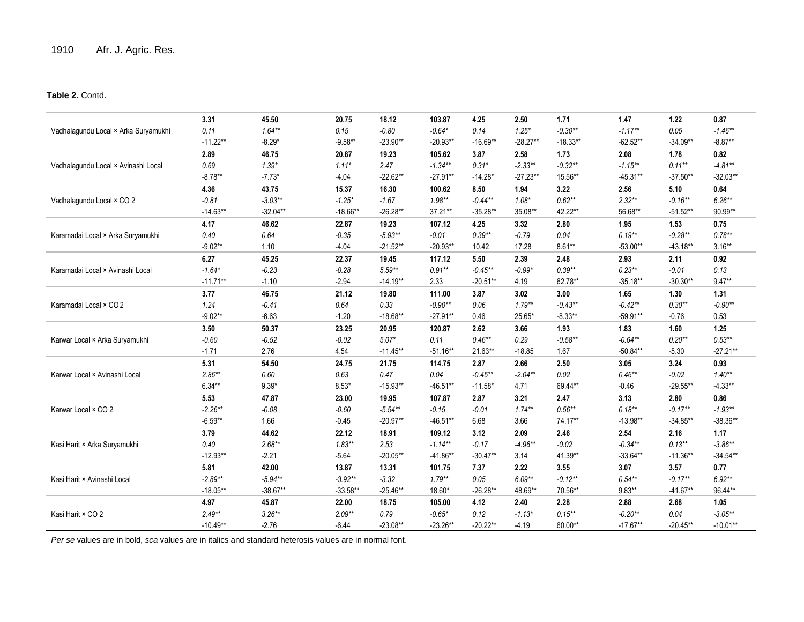## **Table 2.** Contd.

|                                      | 3.31       | 45.50      | 20.75      | 18.12      | 103.87     | 4.25       | 2.50       | 1.71       | 1.47       | 1.22        | 0.87       |
|--------------------------------------|------------|------------|------------|------------|------------|------------|------------|------------|------------|-------------|------------|
| Vadhalagundu Local × Arka Suryamukhi | 0.11       | $1.64**$   | 0.15       | $-0.80$    | $-0.64*$   | 0.14       | $1.25*$    | $-0.30**$  | $-1.17**$  | 0.05        | $-1.46**$  |
|                                      | $-11.22**$ | $-8.29*$   | $-9.58**$  | $-23.90**$ | $-20.93**$ | $-16.69**$ | $-28.27**$ | $-18.33**$ | $-62.52**$ | $-34.09**$  | $-8.87**$  |
|                                      | 2.89       | 46.75      | 20.87      | 19.23      | 105.62     | 3.87       | 2.58       | 1.73       | 2.08       | 1.78        | 0.82       |
| Vadhalagundu Local × Avinashi Local  | 0.69       | $1.39*$    | $1.11*$    | 2.47       | $-1.34**$  | $0.31*$    | $-2.33**$  | $-0.32**$  | $-1.15***$ | $0.11***$   | $-4.81**$  |
|                                      | $-8.78**$  | $-7.73*$   | $-4.04$    | $-22.62**$ | $-27.91**$ | $-14.28*$  | $-27.23**$ | 15.56**    | $-45.31**$ | $-37.50**$  | $-32.03**$ |
|                                      | 4.36       | 43.75      | 15.37      | 16.30      | 100.62     | 8.50       | 1.94       | 3.22       | 2.56       | 5.10        | 0.64       |
| Vadhalagundu Local × CO 2            | $-0.81$    | $-3.03**$  | $-1.25*$   | $-1.67$    | $1.98**$   | $-0.44**$  | $1.08*$    | $0.62**$   | $2.32**$   | $-0.16**$   | $6.26**$   |
|                                      | $-14.63**$ | $-32.04**$ | $-18.66**$ | $-26.28**$ | 37.21**    | $-35.28**$ | 35.08**    | 42.22**    | 56.68**    | $-51.52**$  | 90.99**    |
|                                      | 4.17       | 46.62      | 22.87      | 19.23      | 107.12     | 4.25       | 3.32       | 2.80       | 1.95       | 1.53        | 0.75       |
| Karamadai Local × Arka Suryamukhi    | 0.40       | 0.64       | $-0.35$    | $-5.93**$  | $-0.01$    | $0.39**$   | $-0.79$    | 0.04       | $0.19**$   | $-0.28**$   | $0.78**$   |
|                                      | $-9.02**$  | 1.10       | $-4.04$    | $-21.52**$ | $-20.93**$ | 10.42      | 17.28      | $8.61**$   | $-53.00**$ | $-43.18**$  | $3.16**$   |
|                                      | 6.27       | 45.25      | 22.37      | 19.45      | 117.12     | 5.50       | 2.39       | 2.48       | 2.93       | 2.11        | 0.92       |
| Karamadai Local × Avinashi Local     | $-1.64*$   | $-0.23$    | $-0.28$    | $5.59**$   | $0.91**$   | $-0.45**$  | $-0.99*$   | $0.39**$   | $0.23**$   | $-0.01$     | 0.13       |
|                                      | $-11.71**$ | $-1.10$    | $-2.94$    | $-14.19**$ | 2.33       | $-20.51**$ | 4.19       | 62.78**    | $-35.18**$ | $-30.30**$  | $9.47**$   |
|                                      | 3.77       | 46.75      | 21.12      | 19.80      | 111.00     | 3.87       | 3.02       | 3.00       | 1.65       | 1.30        | 1.31       |
| Karamadai Local × CO2                | 1.24       | $-0.41$    | 0.64       | 0.33       | $-0.90**$  | 0.06       | $1.79**$   | $-0.43**$  | $-0.42**$  | $0.30**$    | $-0.90**$  |
|                                      | $-9.02**$  | $-6.63$    | $-1.20$    | $-18.68**$ | $-27.91**$ | 0.46       | 25.65*     | $-8.33**$  | $-59.91**$ | $-0.76$     | 0.53       |
|                                      | 3.50       | 50.37      | 23.25      | 20.95      | 120.87     | 2.62       | 3.66       | 1.93       | 1.83       | 1.60        | 1.25       |
| Karwar Local × Arka Suryamukhi       | $-0.60$    | $-0.52$    | $-0.02$    | $5.07*$    | 0.11       | $0.46**$   | 0.29       | $-0.58**$  | $-0.64**$  | $0.20**$    | $0.53**$   |
|                                      | $-1.71$    | 2.76       | 4.54       | $-11.45**$ | $-51.16**$ | 21.63**    | $-18.85$   | 1.67       | $-50.84**$ | $-5.30$     | $-27.21**$ |
|                                      | 5.31       | 54.50      | 24.75      | 21.75      | 114.75     | 2.87       | 2.66       | 2.50       | 3.05       | 3.24        | 0.93       |
| Karwar Local × Avinashi Local        | $2.86**$   | 0.60       | 0.63       | 0.47       | 0.04       | $-0.45**$  | $-2.04**$  | 0.02       | $0.46**$   | $-0.02$     | $1.40**$   |
|                                      | $6.34**$   | $9.39*$    | $8.53*$    | $-15.93**$ | $-46.51**$ | $-11.58*$  | 4.71       | 69.44**    | $-0.46$    | $-29.55***$ | $-4.33**$  |
|                                      | 5.53       | 47.87      | 23.00      | 19.95      | 107.87     | 2.87       | 3.21       | 2.47       | 3.13       | 2.80        | 0.86       |
| Karwar Local × CO 2                  | $-2.26**$  | $-0.08$    | $-0.60$    | $-5.54**$  | $-0.15$    | $-0.01$    | $1.74***$  | $0.56**$   | $0.18**$   | $-0.17**$   | $-1.93**$  |
|                                      | $-6.59**$  | 1.66       | $-0.45$    | $-20.97**$ | $-46.51**$ | 6.68       | 3.66       | 74.17**    | $-13.98**$ | $-34.85**$  | $-38.36**$ |
|                                      | 3.79       | 44.62      | 22.12      | 18.91      | 109.12     | 3.12       | 2.09       | 2.46       | 2.54       | 2.16        | 1.17       |
| Kasi Harit × Arka Suryamukhi         | 0.40       | $2.68**$   | $1.83***$  | 2.53       | $-1.14**$  | $-0.17$    | $-4.96**$  | $-0.02$    | $-0.34**$  | $0.13**$    | $-3.86**$  |
|                                      | $-12.93**$ | $-2.21$    | $-5.64$    | $-20.05**$ | $-41.86**$ | $-30.47**$ | 3.14       | 41.39**    | $-33.64**$ | $-11.36**$  | $-34.54**$ |
|                                      | 5.81       | 42.00      | 13.87      | 13.31      | 101.75     | 7.37       | 2.22       | 3.55       | 3.07       | 3.57        | 0.77       |
| Kasi Harit × Avinashi Local          | $-2.89**$  | $-5.94**$  | $-3.92**$  | $-3.32$    | $1.79**$   | 0.05       | $6.09**$   | $-0.12**$  | $0.54**$   | $-0.17**$   | $6.92**$   |
|                                      | $-18.05**$ | $-38.67**$ | $-33.58**$ | $-25.46**$ | 18.60*     | $-26.28**$ | 48.69**    | 70.56**    | $9.83**$   | $-41.67**$  | 96.44**    |
|                                      | 4.97       | 45.87      | 22.00      | 18.75      | 105.00     | 4.12       | 2.40       | 2.28       | 2.88       | 2.68        | 1.05       |
| Kasi Harit × CO 2                    | $2.49**$   | $3.26**$   | $2.09**$   | 0.79       | $-0.65*$   | 0.12       | $-1.13*$   | $0.15**$   | $-0.20**$  | 0.04        | $-3.05**$  |
|                                      | $-10.49**$ | $-2.76$    | $-6.44$    | $-23.08**$ | $-23.26**$ | $-20.22**$ | $-4.19$    | 60.00**    | $-17.67**$ | $-20.45**$  | $-10.01**$ |

*Per se* values are in bold, *sca* values are in italics and standard heterosis values are in normal font.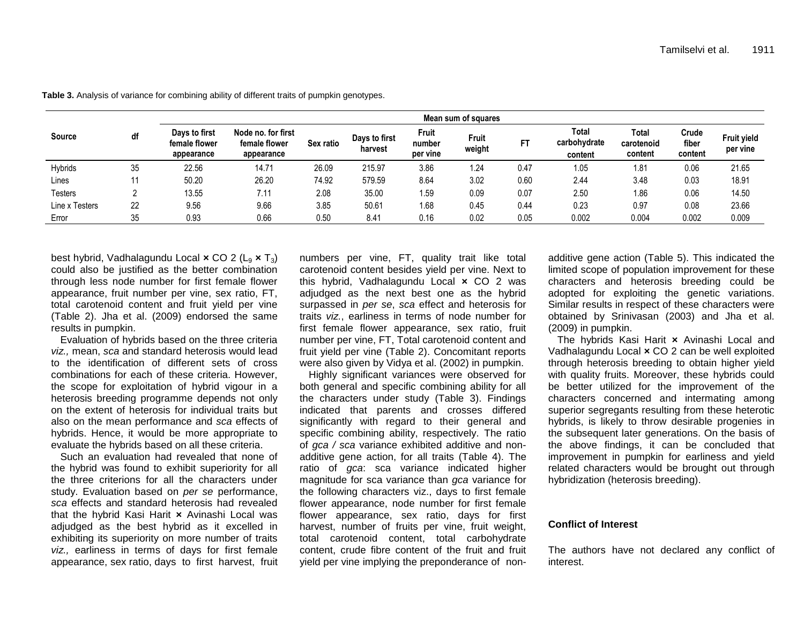|                |    | Mean sum of squares                          |                                                   |           |                          |                             |                 |           |                                  |                                |                           |                                |  |
|----------------|----|----------------------------------------------|---------------------------------------------------|-----------|--------------------------|-----------------------------|-----------------|-----------|----------------------------------|--------------------------------|---------------------------|--------------------------------|--|
| <b>Source</b>  | df | Days to first<br>female flower<br>appearance | Node no. for first<br>female flower<br>appearance | Sex ratio | Days to first<br>harvest | Fruit<br>number<br>per vine | Fruit<br>weight | <b>FT</b> | Total<br>carbohydrate<br>content | Total<br>carotenoid<br>content | Crude<br>fiber<br>content | <b>Fruit vield</b><br>per vine |  |
| <b>Hybrids</b> | 35 | 22.56                                        | 14.71                                             | 26.09     | 215.97                   | 3.86                        | 1.24            | 0.47      | 1.05                             | 1.81                           | 0.06                      | 21.65                          |  |
| Lines          |    | 50.20                                        | 26.20                                             | 74.92     | 579.59                   | 8.64                        | 3.02            | 0.60      | 2.44                             | 3.48                           | 0.03                      | 18.91                          |  |
| Testers        |    | 13.55                                        | 7.11                                              | 2.08      | 35.00                    | 1.59                        | 0.09            | 0.07      | 2.50                             | 1.86                           | 0.06                      | 14.50                          |  |
| Line x Testers | 22 | 9.56                                         | 9.66                                              | 3.85      | 50.61                    | 1.68                        | 0.45            | 0.44      | 0.23                             | 0.97                           | 0.08                      | 23.66                          |  |
| Error          | 35 | 0.93                                         | 0.66                                              | 0.50      | 8.41                     | 0.16                        | 0.02            | 0.05      | 0.002                            | 0.004                          | 0.002                     | 0.009                          |  |

**Table 3.** Analysis of variance for combining ability of different traits of pumpkin genotypes.

best hybrid, Vadhalagundu Local **×** CO 2 (L<sub>9</sub> **×** T<sub>3</sub>) could also be justified as the better combination through less node number for first female flower appearance, fruit number per vine, sex ratio, FT, total carotenoid content and fruit yield per vine (Table 2). Jha et al. (2009) endorsed the same results in pumpkin.

Evaluation of hybrids based on the three criteria *viz.,* mean, *sca* and standard heterosis would lead to the identification of different sets of cross combinations for each of these criteria. However, the scope for exploitation of hybrid vigour in a heterosis breeding programme depends not only on the extent of heterosis for individual traits but also on the mean performance and *sca* effects of hybrids. Hence, it would be more appropriate to evaluate the hybrids based on all these criteria.

Such an evaluation had revealed that none of the hybrid was found to exhibit superiority for all the three criterions for all the characters under study. Evaluation based on *per se* performance, *sca* effects and standard heterosis had revealed that the hybrid Kasi Harit **×** Avinashi Local was adjudged as the best hybrid as it excelled in exhibiting its superiority on more number of traits *viz.,* earliness in terms of days for first female appearance, sex ratio, days to first harvest, fruit numbers per vine, FT, quality trait like total carotenoid content besides yield per vine. Next to this hybrid, Vadhalagundu Local **×** CO 2 was adjudged as the next best one as the hybrid surpassed in *per se*, *sca* effect and heterosis for traits *viz.*, earliness in terms of node number for first female flower appearance, sex ratio, fruit number per vine, FT, Total carotenoid content and fruit yield per vine (Table 2). Concomitant reports were also given by Vidya et al. (2002) in pumpkin.

Highly significant variances were observed for both general and specific combining ability for all the characters under study (Table 3). Findings indicated that parents and crosses differed significantly with regard to their general and specific combining ability, respectively. The ratio of *gca / sca* variance exhibited additive and nonadditive gene action, for all traits (Table 4). The ratio of *gca*: sca variance indicated higher magnitude for sca variance than *gca* variance for the following characters viz., days to first female flower appearance, node number for first female flower appearance, sex ratio, days for first harvest, number of fruits per vine, fruit weight, total carotenoid content, total carbohydrate content, crude fibre content of the fruit and fruit yield per vine implying the preponderance of non-

additive gene action (Table 5). This indicated the limited scope of population improvement for these characters and heterosis breeding could be adopted for exploiting the genetic variations. Similar results in respect of these characters were obtained by Srinivasan (2003) and Jha et al. (2009) in pumpkin.

The hybrids Kasi Harit **×** Avinashi Local and Vadhalagundu Local **×** CO 2 can be well exploited through heterosis breeding to obtain higher yield with quality fruits. Moreover, these hybrids could be better utilized for the improvement of the characters concerned and intermating among superior segregants resulting from these heterotic hybrids, is likely to throw desirable progenies in the subsequent later generations. On the basis of the above findings, it can be concluded that improvement in pumpkin for earliness and yield related characters would be brought out through hybridization (heterosis breeding).

#### **Conflict of Interest**

The authors have not declared any conflict of interest.